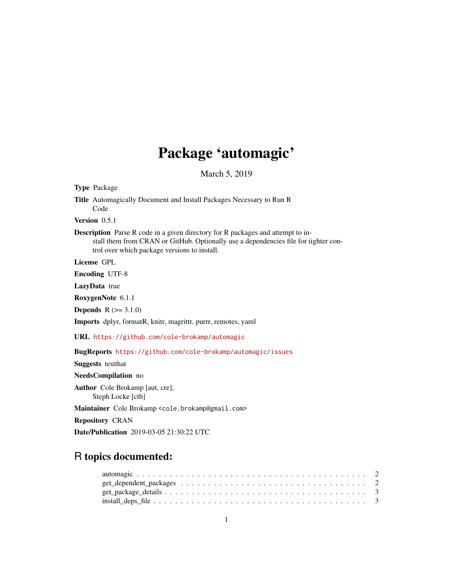# Package 'automagic'

March 5, 2019

Title Automagically Document and Install Packages Necessary to Run R Code Version 0.5.1 Description Parse R code in a given directory for R packages and attempt to install them from CRAN or GitHub. Optionally use a dependencies file for tighter control over which package versions to install. License GPL Encoding UTF-8 LazyData true RoxygenNote 6.1.1 **Depends**  $R (= 3.1.0)$ Imports dplyr, formatR, knitr, magrittr, purrr, remotes, yaml URL <https://github.com/cole-brokamp/automagic> BugReports <https://github.com/cole-brokamp/automagic/issues> Suggests testthat NeedsCompilation no Author Cole Brokamp [aut, cre], Steph Locke [ctb] Maintainer Cole Brokamp <cole.brokamp@gmail.com> Repository CRAN

Date/Publication 2019-03-05 21:30:22 UTC

# R topics documented:

<span id="page-0-0"></span>Type Package

| $get_package_details \dots \dots \dots \dots \dots \dots \dots \dots \dots \dots \dots \dots \dots \dots \dots \dots$ |  |  |  |  |  |  |  |  |  |  |  |  |  |  |  |  |
|-----------------------------------------------------------------------------------------------------------------------|--|--|--|--|--|--|--|--|--|--|--|--|--|--|--|--|
|                                                                                                                       |  |  |  |  |  |  |  |  |  |  |  |  |  |  |  |  |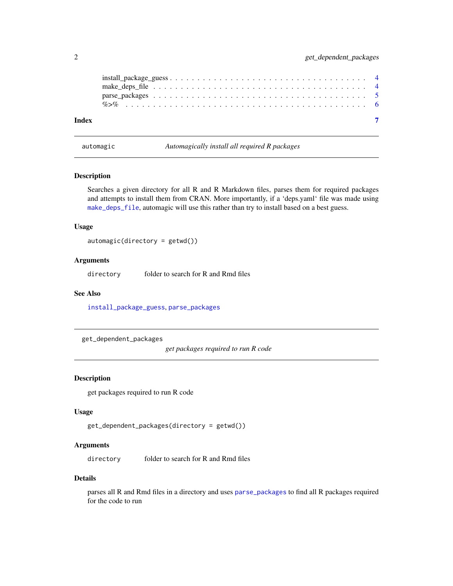<span id="page-1-0"></span>

| Index |  |  |  |  |  |  |  |  |  |  |  |  |  |  |  |  |  |
|-------|--|--|--|--|--|--|--|--|--|--|--|--|--|--|--|--|--|

<span id="page-1-1"></span>automagic *Automagically install all required R packages*

## Description

Searches a given directory for all R and R Markdown files, parses them for required packages and attempts to install them from CRAN. More importantly, if a 'deps.yaml' file was made using [make\\_deps\\_file](#page-3-1), automagic will use this rather than try to install based on a best guess.

#### Usage

```
automagic(directory = getwd())
```
## Arguments

directory folder to search for R and Rmd files

#### See Also

[install\\_package\\_guess](#page-3-2), [parse\\_packages](#page-4-1)

get\_dependent\_packages

*get packages required to run R code*

### Description

get packages required to run R code

#### Usage

```
get_dependent_packages(directory = getwd())
```
#### **Arguments**

directory folder to search for R and Rmd files

#### Details

parses all R and Rmd files in a directory and uses [parse\\_packages](#page-4-1) to find all R packages required for the code to run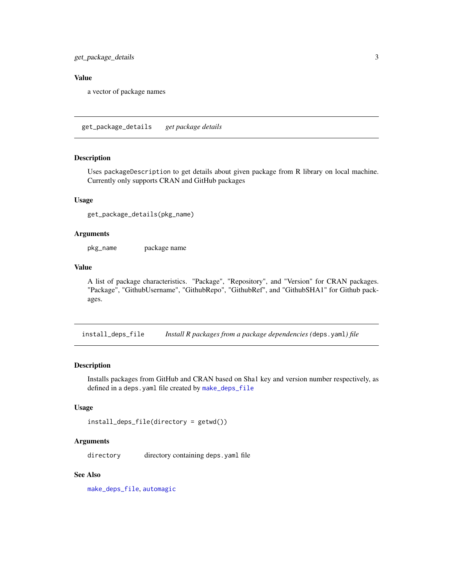<span id="page-2-0"></span>get\_package\_details 3

## Value

a vector of package names

get\_package\_details *get package details*

#### Description

Uses packageDescription to get details about given package from R library on local machine. Currently only supports CRAN and GitHub packages

#### Usage

```
get_package_details(pkg_name)
```
#### Arguments

pkg\_name package name

#### Value

A list of package characteristics. "Package", "Repository", and "Version" for CRAN packages. "Package", "GithubUsername", "GithubRepo", "GithubRef", and "GithubSHA1" for Github packages.

<span id="page-2-1"></span>install\_deps\_file *Install R packages from a package dependencies (*deps.yaml*) file*

#### Description

Installs packages from GitHub and CRAN based on Sha1 key and version number respectively, as defined in a deps.yaml file created by [make\\_deps\\_file](#page-3-1)

#### Usage

```
install_deps_file(directory = getwd())
```
#### Arguments

directory directory containing deps.yaml file

#### See Also

[make\\_deps\\_file](#page-3-1), [automagic](#page-1-1)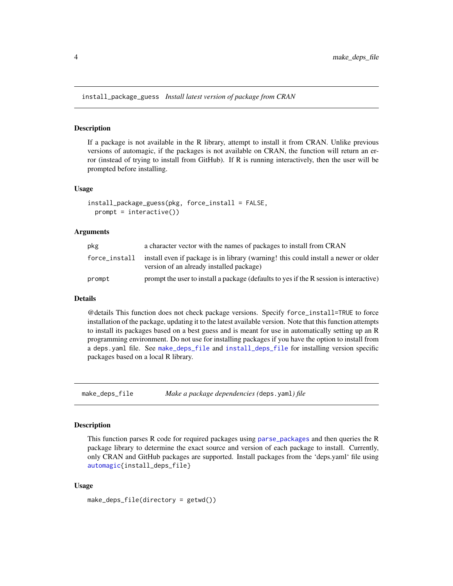<span id="page-3-2"></span><span id="page-3-0"></span>install\_package\_guess *Install latest version of package from CRAN*

#### Description

If a package is not available in the R library, attempt to install it from CRAN. Unlike previous versions of automagic, if the packages is not available on CRAN, the function will return an error (instead of trying to install from GitHub). If R is running interactively, then the user will be prompted before installing.

#### Usage

```
install_package_guess(pkg, force_install = FALSE,
 prompt = interactive()
```
#### Arguments

| pkg           | a character vector with the names of packages to install from CRAN                                                              |
|---------------|---------------------------------------------------------------------------------------------------------------------------------|
| force_install | install even if package is in library (warning! this could install a newer or older<br>version of an already installed package) |
| prompt        | prompt the user to install a package (defaults to yes if the R session is interactive)                                          |

#### Details

@details This function does not check package versions. Specify force\_install=TRUE to force installation of the package, updating it to the latest available version. Note that this function attempts to install its packages based on a best guess and is meant for use in automatically setting up an R programming environment. Do not use for installing packages if you have the option to install from a deps.yaml file. See [make\\_deps\\_file](#page-3-1) and [install\\_deps\\_file](#page-2-1) for installing version specific packages based on a local R library.

<span id="page-3-1"></span>make\_deps\_file *Make a package dependencies (*deps.yaml*) file*

#### Description

This function parses R code for required packages using [parse\\_packages](#page-4-1) and then queries the R package library to determine the exact source and version of each package to install. Currently, only CRAN and GitHub packages are supported. Install packages from the 'deps.yaml' file using [automagic{](#page-1-1)install\_deps\_file}

#### Usage

```
make_deps_file(directory = getwd())
```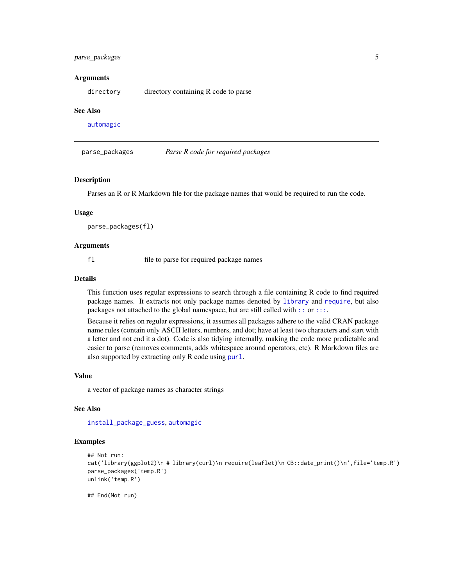### <span id="page-4-0"></span>parse\_packages 5

#### Arguments

directory directory containing R code to parse

#### See Also

[automagic](#page-1-1)

<span id="page-4-1"></span>parse\_packages *Parse R code for required packages*

#### **Description**

Parses an R or R Markdown file for the package names that would be required to run the code.

#### Usage

parse\_packages(fl)

#### Arguments

fl file to parse for required package names

#### Details

This function uses regular expressions to search through a file containing R code to find required package names. It extracts not only package names denoted by [library](#page-0-0) and [require](#page-0-0), but also packages not attached to the global namespace, but are still called with [::](#page-0-0) or [:::](#page-0-0).

Because it relies on regular expressions, it assumes all packages adhere to the valid CRAN package name rules (contain only ASCII letters, numbers, and dot; have at least two characters and start with a letter and not end it a dot). Code is also tidying internally, making the code more predictable and easier to parse (removes comments, adds whitespace around operators, etc). R Markdown files are also supported by extracting only R code using [purl](#page-0-0).

#### Value

a vector of package names as character strings

## See Also

[install\\_package\\_guess](#page-3-2), [automagic](#page-1-1)

#### Examples

```
## Not run:
cat('library(ggplot2)\n # library(curl)\n require(leaflet)\n CB::date_print()\n',file='temp.R')
parse_packages('temp.R')
unlink('temp.R')
```
## End(Not run)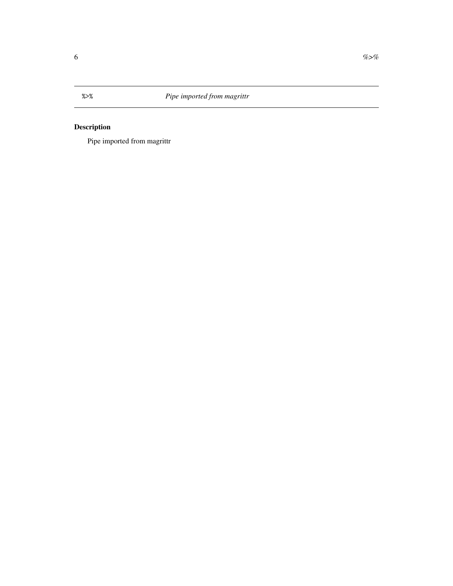<span id="page-5-0"></span>%>% *Pipe imported from magrittr*

## Description

Pipe imported from magrittr